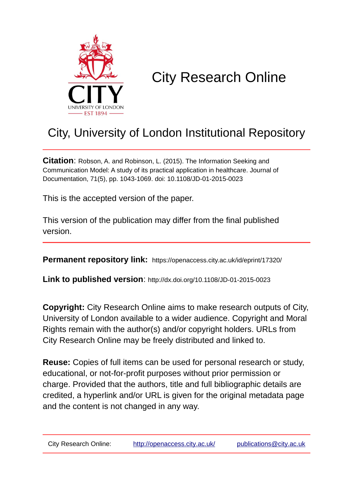

# City Research Online

# City, University of London Institutional Repository

**Citation**: Robson, A. and Robinson, L. (2015). The Information Seeking and Communication Model: A study of its practical application in healthcare. Journal of Documentation, 71(5), pp. 1043-1069. doi: 10.1108/JD-01-2015-0023

This is the accepted version of the paper.

This version of the publication may differ from the final published version.

**Permanent repository link:** https://openaccess.city.ac.uk/id/eprint/17320/

**Link to published version**: http://dx.doi.org/10.1108/JD-01-2015-0023

**Copyright:** City Research Online aims to make research outputs of City, University of London available to a wider audience. Copyright and Moral Rights remain with the author(s) and/or copyright holders. URLs from City Research Online may be freely distributed and linked to.

**Reuse:** Copies of full items can be used for personal research or study, educational, or not-for-profit purposes without prior permission or charge. Provided that the authors, title and full bibliographic details are credited, a hyperlink and/or URL is given for the original metadata page and the content is not changed in any way.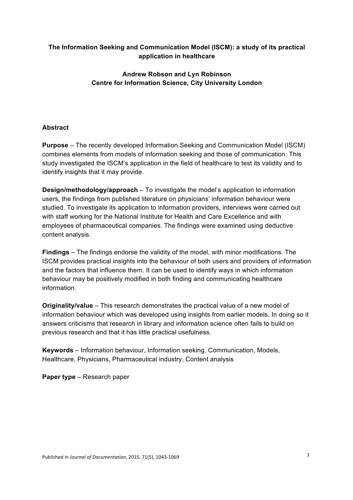# **The Information Seeking and Communication Model (ISCM): a study of its practical application in healthcare**

# **Andrew Robson and Lyn Robinson Centre for Information Science, City University London**

# **Abstract**

**Purpose** – The recently developed Information Seeking and Communication Model (ISCM) combines elements from models of information seeking and those of communication. This study investigated the ISCM's application in the field of healthcare to test its validity and to identify insights that it may provide.

**Design/methodology/approach** – To investigate the model's application to information users, the findings from published literature on physicians' information behaviour were studied. To investigate its application to information providers, interviews were carried out with staff working for the National Institute for Health and Care Excellence and with employees of pharmaceutical companies. The findings were examined using deductive content analysis.

**Findings** – The findings endorse the validity of the model, with minor modifications. The ISCM provides practical insights into the behaviour of both users and providers of information and the factors that influence them. It can be used to identify ways in which information behaviour may be positively modified in both finding and communicating healthcare information.

**Originality/value** – This research demonstrates the practical value of a new model of information behaviour which was developed using insights from earlier models. In doing so it answers criticisms that research in library and information science often fails to build on previous research and that it has little practical usefulness.

**Keywords** – Information behaviour, Information seeking, Communication, Models, Healthcare, Physicians, Pharmaceutical industry, Content analysis

**Paper type** – Research paper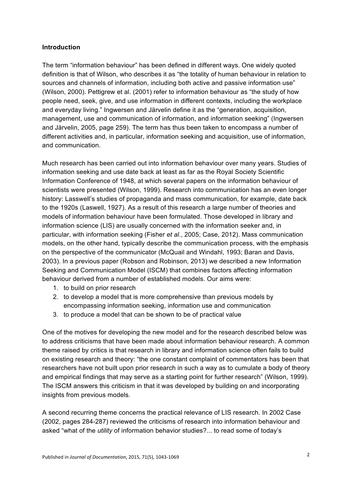#### **Introduction**

The term "information behaviour" has been defined in different ways. One widely quoted definition is that of Wilson, who describes it as "the totality of human behaviour in relation to sources and channels of information, including both active and passive information use" (Wilson, 2000). Pettigrew et al. (2001) refer to information behaviour as "the study of how people need, seek, give, and use information in different contexts, including the workplace and everyday living." Ingwersen and Järvelin define it as the "generation, acquisition, management, use and communication of information, and information seeking" (Ingwersen and Järvelin, 2005, page 259). The term has thus been taken to encompass a number of different activities and, in particular, information seeking and acquisition, use of information, and communication.

Much research has been carried out into information behaviour over many years. Studies of information seeking and use date back at least as far as the Royal Society Scientific Information Conference of 1948, at which several papers on the information behaviour of scientists were presented (Wilson, 1999). Research into communication has an even longer history: Lasswell's studies of propaganda and mass communication, for example, date back to the 1920s (Laswell, 1927). As a result of this research a large number of theories and models of information behaviour have been formulated. Those developed in library and information science (LIS) are usually concerned with the information seeker and, in particular, with information seeking (Fisher *et al*., 2005; Case, 2012). Mass communication models, on the other hand, typically describe the communication process, with the emphasis on the perspective of the communicator (McQuail and Windahl, 1993; Baran and Davis, 2003). In a previous paper (Robson and Robinson, 2013) we described a new Information Seeking and Communication Model (ISCM) that combines factors affecting information behaviour derived from a number of established models. Our aims were:

- 1. to build on prior research
- 2. to develop a model that is more comprehensive than previous models by encompassing information seeking, information use and communication
- 3. to produce a model that can be shown to be of practical value

One of the motives for developing the new model and for the research described below was to address criticisms that have been made about information behaviour research. A common theme raised by critics is that research in library and information science often fails to build on existing research and theory: "the one constant complaint of commentators has been that researchers have not built upon prior research in such a way as to cumulate a body of theory and empirical findings that may serve as a starting point for further research" (Wilson, 1999). The ISCM answers this criticism in that it was developed by building on and incorporating insights from previous models.

A second recurring theme concerns the practical relevance of LIS research. In 2002 Case (2002, pages 284-287) reviewed the criticisms of research into information behaviour and asked "what of the *utility* of information behavior studies?... to read some of today's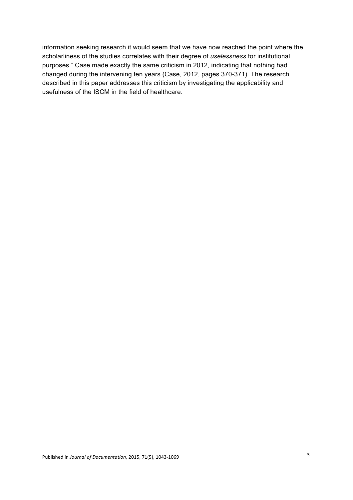information seeking research it would seem that we have now reached the point where the scholarliness of the studies correlates with their degree of *uselessness* for institutional purposes." Case made exactly the same criticism in 2012, indicating that nothing had changed during the intervening ten years (Case, 2012, pages 370-371). The research described in this paper addresses this criticism by investigating the applicability and usefulness of the ISCM in the field of healthcare.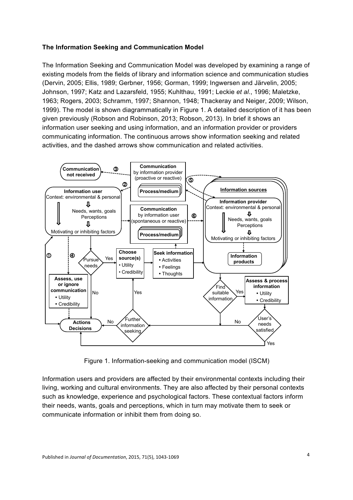### **The Information Seeking and Communication Model**

The Information Seeking and Communication Model was developed by examining a range of existing models from the fields of library and information science and communication studies (Dervin, 2005; Ellis, 1989; Gerbner, 1956; Gorman, 1999; Ingwersen and Järvelin, 2005; Johnson, 1997; Katz and Lazarsfeld, 1955; Kuhlthau, 1991; Leckie *et al*., 1996; Maletzke, 1963; Rogers, 2003; Schramm, 1997; Shannon, 1948; Thackeray and Neiger, 2009; Wilson, 1999). The model is shown diagrammatically in Figure 1. A detailed description of it has been given previously (Robson and Robinson, 2013; Robson, 2013). In brief it shows an information user seeking and using information, and an information provider or providers communicating information. The continuous arrows show information seeking and related activities, and the dashed arrows show communication and related activities.



Figure 1. Information-seeking and communication model (ISCM)

Information users and providers are affected by their environmental contexts including their living, working and cultural environments. They are also affected by their personal contexts such as knowledge, experience and psychological factors. These contextual factors inform their needs, wants, goals and perceptions, which in turn may motivate them to seek or communicate information or inhibit them from doing so.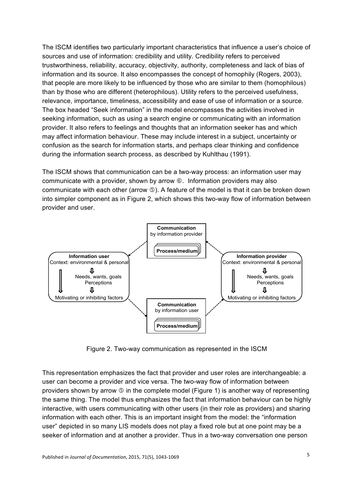The ISCM identifies two particularly important characteristics that influence a user's choice of sources and use of information: credibility and utility. Credibility refers to perceived trustworthiness, reliability, accuracy, objectivity, authority, completeness and lack of bias of information and its source. It also encompasses the concept of homophily (Rogers, 2003), that people are more likely to be influenced by those who are similar to them (homophilous) than by those who are different (heterophilous). Utility refers to the perceived usefulness, relevance, importance, timeliness, accessibility and ease of use of information or a source. The box headed "Seek information" in the model encompasses the activities involved in seeking information, such as using a search engine or communicating with an information provider. It also refers to feelings and thoughts that an information seeker has and which may affect information behaviour. These may include interest in a subject, uncertainty or confusion as the search for information starts, and perhaps clear thinking and confidence during the information search process, as described by Kuhlthau (1991).

The ISCM shows that communication can be a two-way process: an information user may communicate with a provider, shown by arrow **.** Information providers may also communicate with each other (arrow  $\circledcirc$ ). A feature of the model is that it can be broken down into simpler component as in Figure 2, which shows this two-way flow of information between provider and user.



Figure 2. Two-way communication as represented in the ISCM

This representation emphasizes the fact that provider and user roles are interchangeable: a user can become a provider and vice versa. The two-way flow of information between providers shown by arrow  $\circledcirc$  in the complete model (Figure 1) is another way of representing the same thing. The model thus emphasizes the fact that information behaviour can be highly interactive, with users communicating with other users (in their role as providers) and sharing information with each other. This is an important insight from the model: the "information user" depicted in so many LIS models does not play a fixed role but at one point may be a seeker of information and at another a provider. Thus in a two-way conversation one person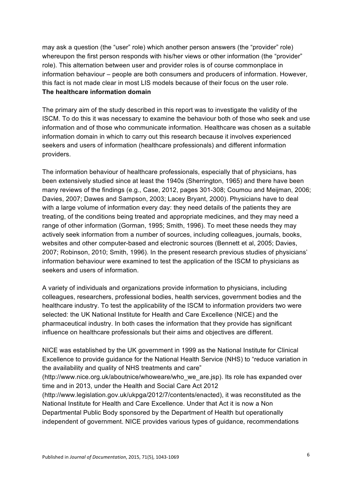may ask a question (the "user" role) which another person answers (the "provider" role) whereupon the first person responds with his/her views or other information (the "provider" role). This alternation between user and provider roles is of course commonplace in information behaviour – people are both consumers and producers of information. However, this fact is not made clear in most LIS models because of their focus on the user role. **The healthcare information domain**

The primary aim of the study described in this report was to investigate the validity of the ISCM. To do this it was necessary to examine the behaviour both of those who seek and use information and of those who communicate information. Healthcare was chosen as a suitable information domain in which to carry out this research because it involves experienced seekers and users of information (healthcare professionals) and different information providers.

The information behaviour of healthcare professionals, especially that of physicians, has been extensively studied since at least the 1940s (Sherrington, 1965) and there have been many reviews of the findings (e.g., Case, 2012, pages 301-308; Coumou and Meijman, 2006; Davies, 2007; Dawes and Sampson, 2003; Lacey Bryant, 2000). Physicians have to deal with a large volume of information every day: they need details of the patients they are treating, of the conditions being treated and appropriate medicines, and they may need a range of other information (Gorman, 1995; Smith, 1996). To meet these needs they may actively seek information from a number of sources, including colleagues, journals, books, websites and other computer-based and electronic sources (Bennett et al, 2005; Davies, 2007; Robinson, 2010; Smith, 1996). In the present research previous studies of physicians' information behaviour were examined to test the application of the ISCM to physicians as seekers and users of information.

A variety of individuals and organizations provide information to physicians, including colleagues, researchers, professional bodies, health services, government bodies and the healthcare industry. To test the applicability of the ISCM to information providers two were selected: the UK National Institute for Health and Care Excellence (NICE) and the pharmaceutical industry. In both cases the information that they provide has significant influence on healthcare professionals but their aims and objectives are different.

NICE was established by the UK government in 1999 as the National Institute for Clinical Excellence to provide guidance for the National Health Service (NHS) to "reduce variation in the availability and quality of NHS treatments and care"

(http://www.nice.org.uk/aboutnice/whoweare/who\_we\_are.jsp). Its role has expanded over time and in 2013, under the Health and Social Care Act 2012

(http://www.legislation.gov.uk/ukpga/2012/7/contents/enacted), it was reconstituted as the National Institute for Health and Care Excellence. Under that Act it is now a Non Departmental Public Body sponsored by the Department of Health but operationally independent of government. NICE provides various types of guidance, recommendations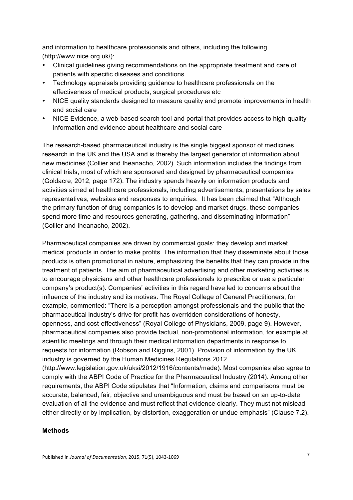and information to healthcare professionals and others, including the following (http://www.nice.org.uk/):

- Clinical guidelines giving recommendations on the appropriate treatment and care of patients with specific diseases and conditions
- Technology appraisals providing guidance to healthcare professionals on the effectiveness of medical products, surgical procedures etc
- NICE quality standards designed to measure quality and promote improvements in health and social care
- NICE Evidence, a web-based search tool and portal that provides access to high-quality information and evidence about healthcare and social care

The research-based pharmaceutical industry is the single biggest sponsor of medicines research in the UK and the USA and is thereby the largest generator of information about new medicines (Collier and Iheanacho, 2002). Such information includes the findings from clinical trials, most of which are sponsored and designed by pharmaceutical companies (Goldacre, 2012, page 172). The industry spends heavily on information products and activities aimed at healthcare professionals, including advertisements, presentations by sales representatives, websites and responses to enquiries. It has been claimed that "Although the primary function of drug companies is to develop and market drugs, these companies spend more time and resources generating, gathering, and disseminating information" (Collier and Iheanacho, 2002).

Pharmaceutical companies are driven by commercial goals: they develop and market medical products in order to make profits. The information that they disseminate about those products is often promotional in nature, emphasizing the benefits that they can provide in the treatment of patients. The aim of pharmaceutical advertising and other marketing activities is to encourage physicians and other healthcare professionals to prescribe or use a particular company's product(s). Companies' activities in this regard have led to concerns about the influence of the industry and its motives. The Royal College of General Practitioners, for example, commented: "There is a perception amongst professionals and the public that the pharmaceutical industry's drive for profit has overridden considerations of honesty, openness, and cost-effectiveness" (Royal College of Physicians, 2009, page 9). However, pharmaceutical companies also provide factual, non-promotional information, for example at scientific meetings and through their medical information departments in response to requests for information (Robson and Riggins, 2001). Provision of information by the UK industry is governed by the Human Medicines Regulations 2012

(http://www.legislation.gov.uk/uksi/2012/1916/contents/made). Most companies also agree to comply with the ABPI Code of Practice for the Pharmaceutical Industry (2014). Among other requirements, the ABPI Code stipulates that "Information, claims and comparisons must be accurate, balanced, fair, objective and unambiguous and must be based on an up-to-date evaluation of all the evidence and must reflect that evidence clearly. They must not mislead either directly or by implication, by distortion, exaggeration or undue emphasis" (Clause 7.2).

#### **Methods**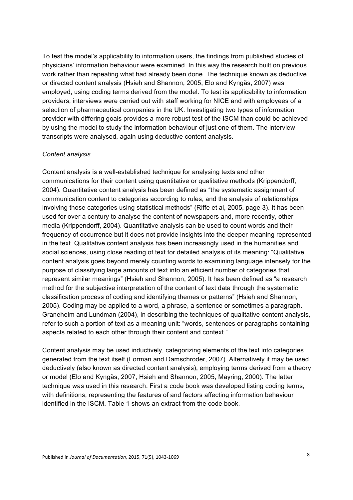To test the model's applicability to information users, the findings from published studies of physicians' information behaviour were examined. In this way the research built on previous work rather than repeating what had already been done. The technique known as deductive or directed content analysis (Hsieh and Shannon, 2005; Elo and Kyngäs, 2007) was employed, using coding terms derived from the model. To test its applicability to information providers, interviews were carried out with staff working for NICE and with employees of a selection of pharmaceutical companies in the UK. Investigating two types of information provider with differing goals provides a more robust test of the ISCM than could be achieved by using the model to study the information behaviour of just one of them. The interview transcripts were analysed, again using deductive content analysis.

#### *Content analysis*

Content analysis is a well-established technique for analysing texts and other communications for their content using quantitative or qualitative methods (Krippendorff, 2004). Quantitative content analysis has been defined as "the systematic assignment of communication content to categories according to rules, and the analysis of relationships involving those categories using statistical methods" (Riffe et al, 2005, page 3). It has been used for over a century to analyse the content of newspapers and, more recently, other media (Krippendorff, 2004). Quantitative analysis can be used to count words and their frequency of occurrence but it does not provide insights into the deeper meaning represented in the text. Qualitative content analysis has been increasingly used in the humanities and social sciences, using close reading of text for detailed analysis of its meaning: "Qualitative content analysis goes beyond merely counting words to examining language intensely for the purpose of classifying large amounts of text into an efficient number of categories that represent similar meanings" (Hsieh and Shannon, 2005). It has been defined as "a research method for the subjective interpretation of the content of text data through the systematic classification process of coding and identifying themes or patterns" (Hsieh and Shannon, 2005). Coding may be applied to a word, a phrase, a sentence or sometimes a paragraph. Graneheim and Lundman (2004), in describing the techniques of qualitative content analysis, refer to such a portion of text as a meaning unit: "words, sentences or paragraphs containing aspects related to each other through their content and context."

Content analysis may be used inductively, categorizing elements of the text into categories generated from the text itself (Forman and Damschroder, 2007). Alternatively it may be used deductively (also known as directed content analysis), employing terms derived from a theory or model (Elo and Kyngäs, 2007; Hsieh and Shannon, 2005; Mayring, 2000). The latter technique was used in this research. First a code book was developed listing coding terms, with definitions, representing the features of and factors affecting information behaviour identified in the ISCM. Table 1 shows an extract from the code book.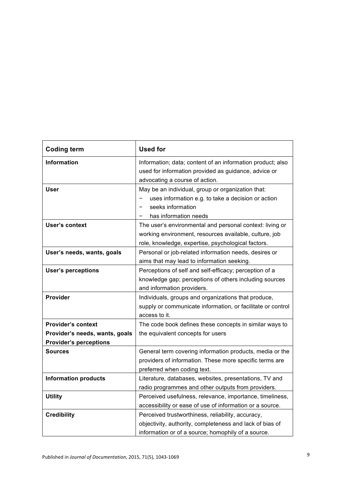| <b>Coding term</b>             | <b>Used for</b>                                             |
|--------------------------------|-------------------------------------------------------------|
| <b>Information</b>             | Information; data; content of an information product; also  |
|                                | used for information provided as guidance, advice or        |
|                                | advocating a course of action.                              |
| <b>User</b>                    | May be an individual, group or organization that:           |
|                                | uses information e.g. to take a decision or action          |
|                                | seeks information                                           |
|                                | has information needs                                       |
| User's context                 | The user's environmental and personal context: living or    |
|                                | working environment, resources available, culture, job      |
|                                | role, knowledge, expertise, psychological factors.          |
| User's needs, wants, goals     | Personal or job-related information needs, desires or       |
|                                | aims that may lead to information seeking.                  |
| <b>User's perceptions</b>      | Perceptions of self and self-efficacy; perception of a      |
|                                | knowledge gap; perceptions of others including sources      |
|                                | and information providers.                                  |
| <b>Provider</b>                | Individuals, groups and organizations that produce,         |
|                                | supply or communicate information, or facilitate or control |
|                                | access to it.                                               |
| <b>Provider's context</b>      | The code book defines these concepts in similar ways to     |
| Provider's needs, wants, goals | the equivalent concepts for users                           |
| <b>Provider's perceptions</b>  |                                                             |
| <b>Sources</b>                 | General term covering information products, media or the    |
|                                | providers of information. These more specific terms are     |
|                                | preferred when coding text.                                 |
| <b>Information products</b>    | Literature, databases, websites, presentations, TV and      |
|                                | radio programmes and other outputs from providers.          |
| <b>Utility</b>                 | Perceived usefulness, relevance, importance, timeliness,    |
|                                | accessibility or ease of use of information or a source.    |
| <b>Credibility</b>             | Perceived trustworthiness, reliability, accuracy,           |
|                                | objectivity, authority, completeness and lack of bias of    |
|                                | information or of a source; homophily of a source.          |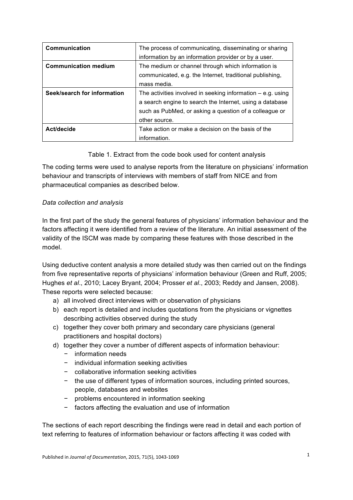| Communication               | The process of communicating, disseminating or sharing<br>information by an information provider or by a user.                                                                                       |
|-----------------------------|------------------------------------------------------------------------------------------------------------------------------------------------------------------------------------------------------|
| <b>Communication medium</b> | The medium or channel through which information is<br>communicated, e.g. the Internet, traditional publishing,<br>mass media.                                                                        |
| Seek/search for information | The activities involved in seeking information $-$ e.g. using<br>a search engine to search the Internet, using a database<br>such as PubMed, or asking a question of a colleague or<br>other source. |
| Act/decide                  | Take action or make a decision on the basis of the<br>information.                                                                                                                                   |

# Table 1. Extract from the code book used for content analysis

The coding terms were used to analyse reports from the literature on physicians' information behaviour and transcripts of interviews with members of staff from NICE and from pharmaceutical companies as described below.

# *Data collection and analysis*

In the first part of the study the general features of physicians' information behaviour and the factors affecting it were identified from a review of the literature. An initial assessment of the validity of the ISCM was made by comparing these features with those described in the model.

Using deductive content analysis a more detailed study was then carried out on the findings from five representative reports of physicians' information behaviour (Green and Ruff, 2005; Hughes *et al*., 2010; Lacey Bryant, 2004; Prosser *et al*., 2003; Reddy and Jansen, 2008). These reports were selected because:

- a) all involved direct interviews with or observation of physicians
- b) each report is detailed and includes quotations from the physicians or vignettes describing activities observed during the study
- c) together they cover both primary and secondary care physicians (general practitioners and hospital doctors)
- d) together they cover a number of different aspects of information behaviour:
	- − information needs
	- − individual information seeking activities
	- − collaborative information seeking activities
	- − the use of different types of information sources, including printed sources, people, databases and websites
	- − problems encountered in information seeking
	- − factors affecting the evaluation and use of information

The sections of each report describing the findings were read in detail and each portion of text referring to features of information behaviour or factors affecting it was coded with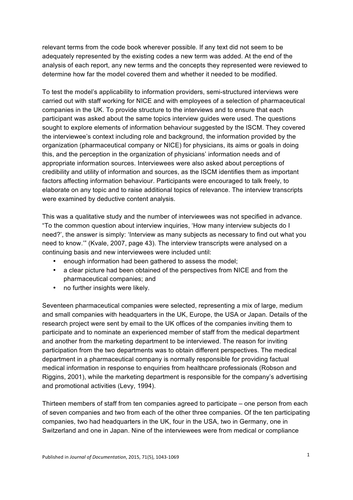relevant terms from the code book wherever possible. If any text did not seem to be adequately represented by the existing codes a new term was added. At the end of the analysis of each report, any new terms and the concepts they represented were reviewed to determine how far the model covered them and whether it needed to be modified.

To test the model's applicability to information providers, semi-structured interviews were carried out with staff working for NICE and with employees of a selection of pharmaceutical companies in the UK. To provide structure to the interviews and to ensure that each participant was asked about the same topics interview guides were used. The questions sought to explore elements of information behaviour suggested by the ISCM. They covered the interviewee's context including role and background, the information provided by the organization (pharmaceutical company or NICE) for physicians, its aims or goals in doing this, and the perception in the organization of physicians' information needs and of appropriate information sources. Interviewees were also asked about perceptions of credibility and utility of information and sources, as the ISCM identifies them as important factors affecting information behaviour. Participants were encouraged to talk freely, to elaborate on any topic and to raise additional topics of relevance. The interview transcripts were examined by deductive content analysis.

This was a qualitative study and the number of interviewees was not specified in advance. "To the common question about interview inquiries, 'How many interview subjects do I need?', the answer is simply: 'Interview as many subjects as necessary to find out what you need to know.'" (Kvale, 2007, page 43). The interview transcripts were analysed on a continuing basis and new interviewees were included until:

- enough information had been gathered to assess the model;
- a clear picture had been obtained of the perspectives from NICE and from the pharmaceutical companies; and
- no further insights were likely.

Seventeen pharmaceutical companies were selected, representing a mix of large, medium and small companies with headquarters in the UK, Europe, the USA or Japan. Details of the research project were sent by email to the UK offices of the companies inviting them to participate and to nominate an experienced member of staff from the medical department and another from the marketing department to be interviewed. The reason for inviting participation from the two departments was to obtain different perspectives. The medical department in a pharmaceutical company is normally responsible for providing factual medical information in response to enquiries from healthcare professionals (Robson and Riggins, 2001), while the marketing department is responsible for the company's advertising and promotional activities (Levy, 1994).

Thirteen members of staff from ten companies agreed to participate – one person from each of seven companies and two from each of the other three companies. Of the ten participating companies, two had headquarters in the UK, four in the USA, two in Germany, one in Switzerland and one in Japan. Nine of the interviewees were from medical or compliance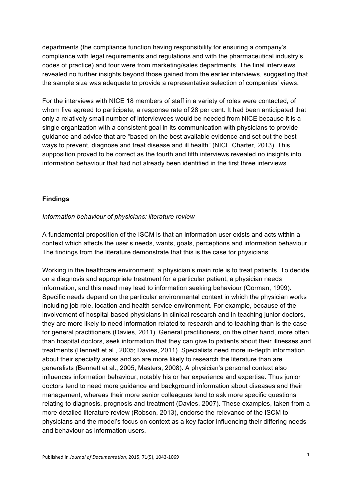departments (the compliance function having responsibility for ensuring a company's compliance with legal requirements and regulations and with the pharmaceutical industry's codes of practice) and four were from marketing/sales departments. The final interviews revealed no further insights beyond those gained from the earlier interviews, suggesting that the sample size was adequate to provide a representative selection of companies' views.

For the interviews with NICE 18 members of staff in a variety of roles were contacted, of whom five agreed to participate, a response rate of 28 per cent. It had been anticipated that only a relatively small number of interviewees would be needed from NICE because it is a single organization with a consistent goal in its communication with physicians to provide guidance and advice that are "based on the best available evidence and set out the best ways to prevent, diagnose and treat disease and ill health" (NICE Charter, 2013). This supposition proved to be correct as the fourth and fifth interviews revealed no insights into information behaviour that had not already been identified in the first three interviews.

#### **Findings**

#### *Information behaviour of physicians: literature review*

A fundamental proposition of the ISCM is that an information user exists and acts within a context which affects the user's needs, wants, goals, perceptions and information behaviour. The findings from the literature demonstrate that this is the case for physicians.

Working in the healthcare environment, a physician's main role is to treat patients. To decide on a diagnosis and appropriate treatment for a particular patient, a physician needs information, and this need may lead to information seeking behaviour (Gorman, 1999). Specific needs depend on the particular environmental context in which the physician works including job role, location and health service environment. For example, because of the involvement of hospital-based physicians in clinical research and in teaching junior doctors, they are more likely to need information related to research and to teaching than is the case for general practitioners (Davies, 2011). General practitioners, on the other hand, more often than hospital doctors, seek information that they can give to patients about their illnesses and treatments (Bennett et al., 2005; Davies, 2011). Specialists need more in-depth information about their specialty areas and so are more likely to research the literature than are generalists (Bennett et al., 2005; Masters, 2008). A physician's personal context also influences information behaviour, notably his or her experience and expertise. Thus junior doctors tend to need more guidance and background information about diseases and their management, whereas their more senior colleagues tend to ask more specific questions relating to diagnosis, prognosis and treatment (Davies, 2007). These examples, taken from a more detailed literature review (Robson, 2013), endorse the relevance of the ISCM to physicians and the model's focus on context as a key factor influencing their differing needs and behaviour as information users.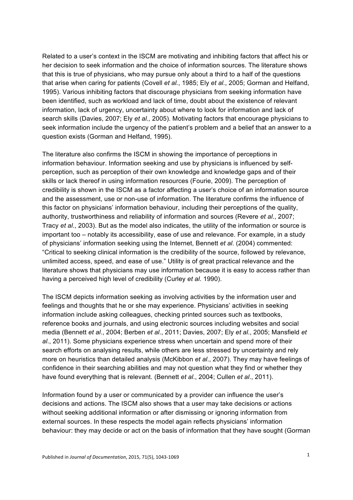Related to a user's context in the ISCM are motivating and inhibiting factors that affect his or her decision to seek information and the choice of information sources. The literature shows that this is true of physicians, who may pursue only about a third to a half of the questions that arise when caring for patients (Covell *et al.*, 1985; Ely *et al.*, 2005; Gorman and Helfand, 1995). Various inhibiting factors that discourage physicians from seeking information have been identified, such as workload and lack of time, doubt about the existence of relevant information, lack of urgency, uncertainty about where to look for information and lack of search skills (Davies, 2007; Ely *et al.,* 2005). Motivating factors that encourage physicians to seek information include the urgency of the patient's problem and a belief that an answer to a question exists (Gorman and Helfand, 1995).

The literature also confirms the ISCM in showing the importance of perceptions in information behaviour. Information seeking and use by physicians is influenced by selfperception, such as perception of their own knowledge and knowledge gaps and of their skills or lack thereof in using information resources (Fourie, 2009). The perception of credibility is shown in the ISCM as a factor affecting a user's choice of an information source and the assessment, use or non-use of information. The literature confirms the influence of this factor on physicians' information behaviour, including their perceptions of the quality, authority, trustworthiness and reliability of information and sources (Revere *et al*., 2007; Tracy *et al*., 2003). But as the model also indicates, the utility of the information or source is important too – notably its accessibility, ease of use and relevance. For example, in a study of physicians' information seeking using the Internet, Bennett *et al*. (2004) commented: "Critical to seeking clinical information is the credibility of the source, followed by relevance, unlimited access, speed, and ease of use." Utility is of great practical relevance and the literature shows that physicians may use information because it is easy to access rather than having a perceived high level of credibility (Curley *et al*. 1990).

The ISCM depicts information seeking as involving activities by the information user and feelings and thoughts that he or she may experience. Physicians' activities in seeking information include asking colleagues, checking printed sources such as textbooks, reference books and journals, and using electronic sources including websites and social media (Bennett *et al*., 2004; Berben *et al*., 2011; Davies, 2007; Ely *et al*., 2005; Mansfield *et al*., 2011). Some physicians experience stress when uncertain and spend more of their search efforts on analysing results, while others are less stressed by uncertainty and rely more on heuristics than detailed analysis (McKibbon *et al*., 2007). They may have feelings of confidence in their searching abilities and may not question what they find or whether they have found everything that is relevant. (Bennett *et al*., 2004; Cullen *et al*., 2011).

Information found by a user or communicated by a provider can influence the user's decisions and actions. The ISCM also shows that a user may take decisions or actions without seeking additional information or after dismissing or ignoring information from external sources. In these respects the model again reflects physicians' information behaviour: they may decide or act on the basis of information that they have sought (Gorman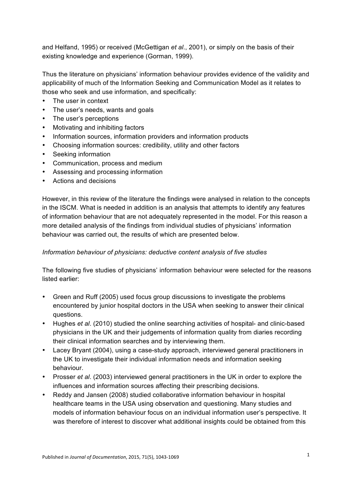and Helfand, 1995) or received (McGettigan *et al*., 2001), or simply on the basis of their existing knowledge and experience (Gorman, 1999).

Thus the literature on physicians' information behaviour provides evidence of the validity and applicability of much of the Information Seeking and Communication Model as it relates to those who seek and use information, and specifically:

- The user in context
- The user's needs, wants and goals
- The user's perceptions
- Motivating and inhibiting factors
- Information sources, information providers and information products
- Choosing information sources: credibility, utility and other factors
- Seeking information
- Communication, process and medium
- Assessing and processing information
- Actions and decisions

However, in this review of the literature the findings were analysed in relation to the concepts in the ISCM. What is needed in addition is an analysis that attempts to identify any features of information behaviour that are not adequately represented in the model. For this reason a more detailed analysis of the findings from individual studies of physicians' information behaviour was carried out, the results of which are presented below.

### *Information behaviour of physicians: deductive content analysis of five studies*

The following five studies of physicians' information behaviour were selected for the reasons listed earlier:

- Green and Ruff (2005) used focus group discussions to investigate the problems encountered by junior hospital doctors in the USA when seeking to answer their clinical questions.
- Hughes *et al*. (2010) studied the online searching activities of hospital- and clinic-based physicians in the UK and their judgements of information quality from diaries recording their clinical information searches and by interviewing them.
- Lacey Bryant (2004), using a case-study approach, interviewed general practitioners in the UK to investigate their individual information needs and information seeking behaviour.
- Prosser *et al*. (2003) interviewed general practitioners in the UK in order to explore the influences and information sources affecting their prescribing decisions.
- Reddy and Jansen (2008) studied collaborative information behaviour in hospital healthcare teams in the USA using observation and questioning. Many studies and models of information behaviour focus on an individual information user's perspective. It was therefore of interest to discover what additional insights could be obtained from this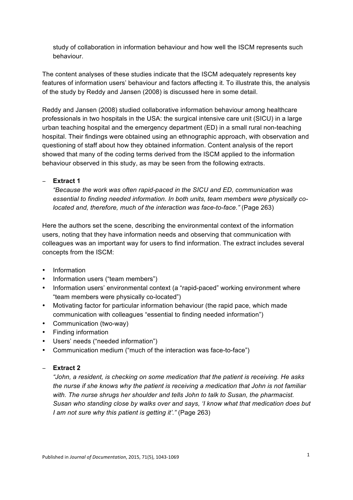study of collaboration in information behaviour and how well the ISCM represents such behaviour.

The content analyses of these studies indicate that the ISCM adequately represents key features of information users' behaviour and factors affecting it. To illustrate this, the analysis of the study by Reddy and Jansen (2008) is discussed here in some detail.

Reddy and Jansen (2008) studied collaborative information behaviour among healthcare professionals in two hospitals in the USA: the surgical intensive care unit (SICU) in a large urban teaching hospital and the emergency department (ED) in a small rural non-teaching hospital. Their findings were obtained using an ethnographic approach, with observation and questioning of staff about how they obtained information. Content analysis of the report showed that many of the coding terms derived from the ISCM applied to the information behaviour observed in this study, as may be seen from the following extracts.

### − **Extract 1**

*"Because the work was often rapid-paced in the SICU and ED, communication was essential to finding needed information. In both units, team members were physically colocated and, therefore, much of the interaction was face-to-face."* (Page 263)

Here the authors set the scene, describing the environmental context of the information users, noting that they have information needs and observing that communication with colleagues was an important way for users to find information. The extract includes several concepts from the ISCM:

- Information
- Information users ("team members")
- Information users' environmental context (a "rapid-paced" working environment where "team members were physically co-located")
- Motivating factor for particular information behaviour (the rapid pace, which made communication with colleagues "essential to finding needed information")
- Communication (two-way)
- Finding information
- Users' needs ("needed information")
- Communication medium ("much of the interaction was face-to-face")

### − **Extract 2**

*"John, a resident, is checking on some medication that the patient is receiving. He asks the nurse if she knows why the patient is receiving a medication that John is not familiar with. The nurse shrugs her shoulder and tells John to talk to Susan, the pharmacist. Susan who standing close by walks over and says, 'I know what that medication does but I am not sure why this patient is getting it'."* (Page 263)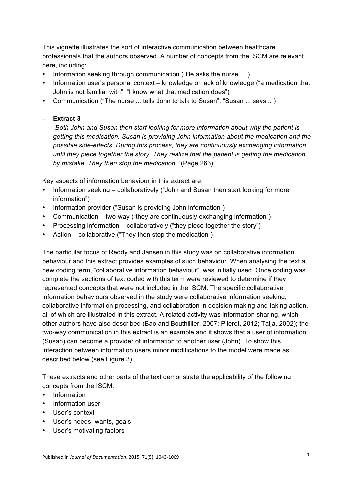This vignette illustrates the sort of interactive communication between healthcare professionals that the authors observed. A number of concepts from the ISCM are relevant here, including:

- Information seeking through communication ("He asks the nurse ...")
- Information user's personal context knowledge or lack of knowledge ("a medication that John is not familiar with", "I know what that medication does")
- Communication ("The nurse ... tells John to talk to Susan", "Susan ... says...")

# − **Extract 3**

*"Both John and Susan then start looking for more information about why the patient is getting this medication. Susan is providing John information about the medication and the possible side-effects. During this process, they are continuously exchanging information until they piece together the story. They realize that the patient is getting the medication by mistake. They then stop the medication."* (Page 263)

Key aspects of information behaviour in this extract are:

- Information seeking collaboratively ("John and Susan then start looking for more information")
- Information provider ("Susan is providing John information")
- Communication two-way ("they are continuously exchanging information")
- Processing information collaboratively ("they piece together the story")
- Action collaborative ("They then stop the medication")

The particular focus of Reddy and Jansen in this study was on collaborative information behaviour and this extract provides examples of such behaviour. When analysing the text a new coding term, "collaborative information behaviour", was initially used. Once coding was complete the sections of text coded with this term were reviewed to determine if they represented concepts that were not included in the ISCM. The specific collaborative information behaviours observed in the study were collaborative information seeking, collaborative information processing, and collaboration in decision making and taking action, all of which are illustrated in this extract. A related activity was information sharing, which other authors have also described (Bao and Bouthillier, 2007; Pilerot, 2012; Talja, 2002); the two-way communication in this extract is an example and it shows that a user of information (Susan) can become a provider of information to another user (John). To show this interaction between information users minor modifications to the model were made as described below (see Figure 3).

These extracts and other parts of the text demonstrate the applicability of the following concepts from the ISCM:

- Information
- Information user
- User's context
- User's needs, wants, goals
- User's motivating factors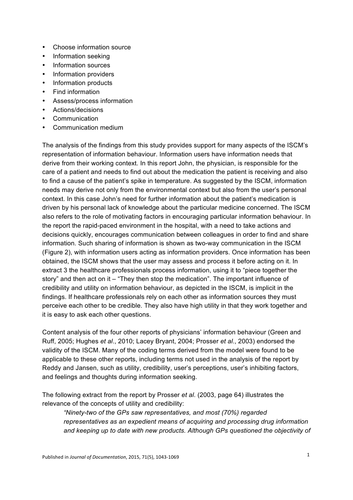- Choose information source
- Information seeking
- Information sources
- Information providers
- Information products
- Find information
- Assess/process information
- Actions/decisions
- Communication
- Communication medium

The analysis of the findings from this study provides support for many aspects of the ISCM's representation of information behaviour. Information users have information needs that derive from their working context. In this report John, the physician, is responsible for the care of a patient and needs to find out about the medication the patient is receiving and also to find a cause of the patient's spike in temperature. As suggested by the ISCM, information needs may derive not only from the environmental context but also from the user's personal context. In this case John's need for further information about the patient's medication is driven by his personal lack of knowledge about the particular medicine concerned. The ISCM also refers to the role of motivating factors in encouraging particular information behaviour. In the report the rapid-paced environment in the hospital, with a need to take actions and decisions quickly, encourages communication between colleagues in order to find and share information. Such sharing of information is shown as two-way communication in the ISCM (Figure 2), with information users acting as information providers. Once information has been obtained, the ISCM shows that the user may assess and process it before acting on it. In extract 3 the healthcare professionals process information, using it to "piece together the story" and then act on it – "They then stop the medication". The important influence of credibility and utility on information behaviour, as depicted in the ISCM, is implicit in the findings. If healthcare professionals rely on each other as information sources they must perceive each other to be credible. They also have high utility in that they work together and it is easy to ask each other questions.

Content analysis of the four other reports of physicians' information behaviour (Green and Ruff, 2005; Hughes *et al*., 2010; Lacey Bryant, 2004; Prosser *et al*., 2003) endorsed the validity of the ISCM. Many of the coding terms derived from the model were found to be applicable to these other reports, including terms not used in the analysis of the report by Reddy and Jansen, such as utility, credibility, user's perceptions, user's inhibiting factors, and feelings and thoughts during information seeking.

The following extract from the report by Prosser *et al*. (2003, page 64) illustrates the relevance of the concepts of utility and credibility:

*"Ninety-two of the GPs saw representatives, and most (70%) regarded representatives as an expedient means of acquiring and processing drug information and keeping up to date with new products. Although GPs questioned the objectivity of*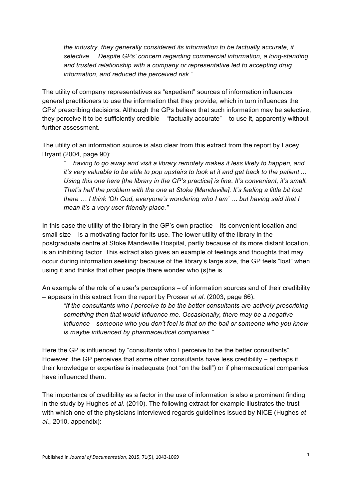*the industry, they generally considered its information to be factually accurate, if selective.... Despite GPs' concern regarding commercial information, a long-standing and trusted relationship with a company or representative led to accepting drug information, and reduced the perceived risk."*

The utility of company representatives as "expedient" sources of information influences general practitioners to use the information that they provide, which in turn influences the GPs' prescribing decisions. Although the GPs believe that such information may be selective, they perceive it to be sufficiently credible – "factually accurate" – to use it, apparently without further assessment.

The utility of an information source is also clear from this extract from the report by Lacey Bryant (2004, page 90):

*"... having to go away and visit a library remotely makes it less likely to happen, and it's very valuable to be able to pop upstairs to look at it and get back to the patient ... Using this one here [the library in the GP's practice] is fine. It's convenient, it's small. That's half the problem with the one at Stoke [Mandeville]. It's feeling a little bit lost there … I think 'Oh God, everyone's wondering who I am' … but having said that I mean it's a very user-friendly place."* 

In this case the utility of the library in the GP's own practice – its convenient location and small size – is a motivating factor for its use. The lower utility of the library in the postgraduate centre at Stoke Mandeville Hospital, partly because of its more distant location, is an inhibiting factor. This extract also gives an example of feelings and thoughts that may occur during information seeking: because of the library's large size, the GP feels "lost" when using it and thinks that other people there wonder who (s)he is.

An example of the role of a user's perceptions – of information sources and of their credibility – appears in this extract from the report by Prosser *et al*. (2003, page 66):

*"If the consultants who I perceive to be the better consultants are actively prescribing something then that would influence me. Occasionally, there may be a negative influence—someone who you don't feel is that on the ball or someone who you know is maybe influenced by pharmaceutical companies."* 

Here the GP is influenced by "consultants who I perceive to be the better consultants". However, the GP perceives that some other consultants have less credibility – perhaps if their knowledge or expertise is inadequate (not "on the ball") or if pharmaceutical companies have influenced them.

The importance of credibility as a factor in the use of information is also a prominent finding in the study by Hughes *et al*. (2010). The following extract for example illustrates the trust with which one of the physicians interviewed regards guidelines issued by NICE (Hughes *et al*., 2010, appendix):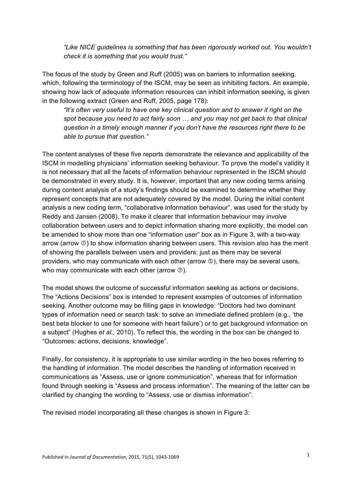*"Like NICE guidelines is something that has been rigorously worked out. You wouldn't check it is something that you would trust."*

The focus of the study by Green and Ruff (2005) was on barriers to information seeking, which, following the terminology of the ISCM, may be seen as inhibiting factors. An example, showing how lack of adequate information resources can inhibit information seeking, is given in the following extract (Green and Ruff, 2005, page 178):

*"It's often very useful to have one key clinical question and to answer it right on the spot because you need to act fairly soon … and you may not get back to that clinical question in a timely enough manner if you don't have the resources right there to be able to pursue that question."* 

The content analyses of these five reports demonstrate the relevance and applicability of the ISCM in modelling physicians' information seeking behaviour. To prove the model's validity it is not necessary that all the facets of information behaviour represented in the ISCM should be demonstrated in every study. It is, however, important that any new coding terms arising during content analysis of a study's findings should be examined to determine whether they represent concepts that are not adequately covered by the model. During the initial content analysis a new coding term, "collaborative information behaviour", was used for the study by Reddy and Jansen (2008). To make it clearer that information behaviour may involve collaboration between users and to depict information sharing more explicitly, the model can be amended to show more than one "information user" box as in Figure 3, with a two-way arrow (arrow  $\circledcirc$ ) to show information sharing between users. This revision also has the merit of showing the parallels between users and providers: just as there may be several providers, who may communicate with each other (arrow  $\circled{S}$ ), there may be several users, who may communicate with each other (arrow  $\circledcirc$ ).

The model shows the outcome of successful information seeking as actions or decisions. The "Actions Decisions" box is intended to represent examples of outcomes of information seeking. Another outcome may be filling gaps in knowledge: "Doctors had two dominant types of information need or search task: to solve an immediate defined problem (e.g., 'the best beta blocker to use for someone with heart failure') or to get background information on a subject" (Hughes *et al*., 2010). To reflect this, the wording in the box can be changed to "Outcomes: actions, decisions, knowledge".

Finally, for consistency, it is appropriate to use similar wording in the two boxes referring to the handling of information. The model describes the handling of information received in communications as "Assess, use or ignore communication", whereas that for information found through seeking is "Assess and process information". The meaning of the latter can be clarified by changing the wording to "Assess, use or dismiss information".

The revised model incorporating all these changes is shown in Figure 3: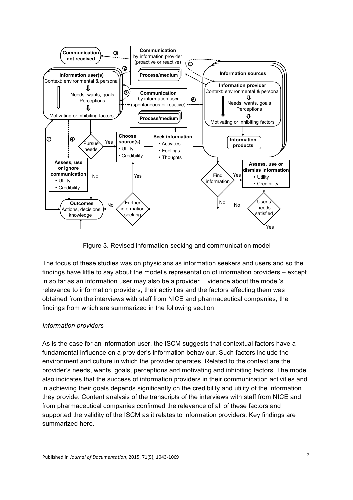

Figure 3. Revised information-seeking and communication model

The focus of these studies was on physicians as information seekers and users and so the findings have little to say about the model's representation of information providers – except in so far as an information user may also be a provider. Evidence about the model's relevance to information providers, their activities and the factors affecting them was obtained from the interviews with staff from NICE and pharmaceutical companies, the findings from which are summarized in the following section.

#### *Information providers*

As is the case for an information user, the ISCM suggests that contextual factors have a fundamental influence on a provider's information behaviour. Such factors include the environment and culture in which the provider operates. Related to the context are the provider's needs, wants, goals, perceptions and motivating and inhibiting factors. The model also indicates that the success of information providers in their communication activities and in achieving their goals depends significantly on the credibility and utility of the information they provide. Content analysis of the transcripts of the interviews with staff from NICE and from pharmaceutical companies confirmed the relevance of all of these factors and supported the validity of the ISCM as it relates to information providers. Key findings are summarized here.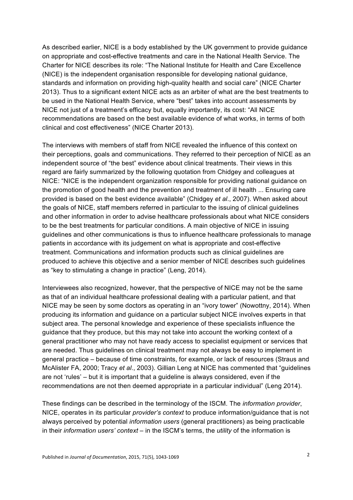As described earlier, NICE is a body established by the UK government to provide guidance on appropriate and cost-effective treatments and care in the National Health Service. The Charter for NICE describes its role: "The National Institute for Health and Care Excellence (NICE) is the independent organisation responsible for developing national guidance, standards and information on providing high-quality health and social care" (NICE Charter 2013). Thus to a significant extent NICE acts as an arbiter of what are the best treatments to be used in the National Health Service, where "best" takes into account assessments by NICE not just of a treatment's efficacy but, equally importantly, its cost: "All NICE recommendations are based on the best available evidence of what works, in terms of both clinical and cost effectiveness" (NICE Charter 2013).

The interviews with members of staff from NICE revealed the influence of this context on their perceptions, goals and communications. They referred to their perception of NICE as an independent source of "the best" evidence about clinical treatments. Their views in this regard are fairly summarized by the following quotation from Chidgey and colleagues at NICE: "NICE is the independent organization responsible for providing national guidance on the promotion of good health and the prevention and treatment of ill health ... Ensuring care provided is based on the best evidence available" (Chidgey *et al*., 2007). When asked about the goals of NICE, staff members referred in particular to the issuing of clinical guidelines and other information in order to advise healthcare professionals about what NICE considers to be the best treatments for particular conditions. A main objective of NICE in issuing guidelines and other communications is thus to influence healthcare professionals to manage patients in accordance with its judgement on what is appropriate and cost-effective treatment. Communications and information products such as clinical guidelines are produced to achieve this objective and a senior member of NICE describes such guidelines as "key to stimulating a change in practice" (Leng, 2014).

Interviewees also recognized, however, that the perspective of NICE may not be the same as that of an individual healthcare professional dealing with a particular patient, and that NICE may be seen by some doctors as operating in an "ivory tower" (Nowottny, 2014). When producing its information and guidance on a particular subject NICE involves experts in that subject area. The personal knowledge and experience of these specialists influence the guidance that they produce, but this may not take into account the working context of a general practitioner who may not have ready access to specialist equipment or services that are needed. Thus guidelines on clinical treatment may not always be easy to implement in general practice – because of time constraints, for example, or lack of resources (Straus and McAlister FA, 2000; Tracy *et al*., 2003). Gillian Leng at NICE has commented that "guidelines are not 'rules' – but it is important that a guideline is always considered, even if the recommendations are not then deemed appropriate in a particular individual" (Leng 2014).

These findings can be described in the terminology of the ISCM. The *information provider*, NICE, operates in its particular *provider's context* to produce information/guidance that is not always perceived by potential *information users* (general practitioners) as being practicable in their *information users' context* – in the ISCM's terms, the *utility* of the information is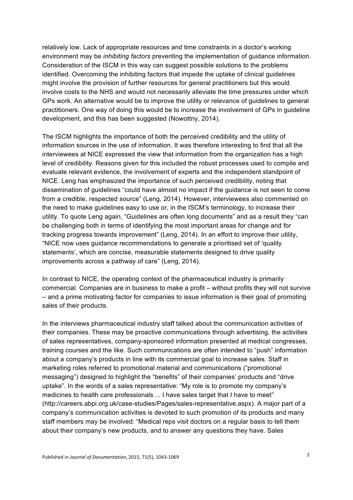relatively low. Lack of appropriate resources and time constraints in a doctor's working environment may be *inhibiting factors* preventing the implementation of guidance information. Consideration of the ISCM in this way can suggest possible solutions to the problems identified. Overcoming the inhibiting factors that impede the uptake of clinical guidelines might involve the provision of further resources for general practitioners but this would involve costs to the NHS and would not necessarily alleviate the time pressures under which GPs work. An alternative would be to improve the utility or relevance of guidelines to general practitioners. One way of doing this would be to increase the involvement of GPs in guideline development, and this has been suggested (Nowottny, 2014).

The ISCM highlights the importance of both the perceived credibility and the utility of information sources in the use of information. It was therefore interesting to find that all the interviewees at NICE expressed the view that information from the organization has a high level of credibility. Reasons given for this included the robust processes used to compile and evaluate relevant evidence, the involvement of experts and the independent standpoint of NICE. Leng has emphasized the importance of such perceived credibility, noting that dissemination of guidelines "could have almost no impact if the guidance is not seen to come from a credible, respected source" (Leng, 2014). However, interviewees also commented on the need to make guidelines easy to use or, in the ISCM's terminology, to increase their utility. To quote Leng again, "Guidelines are often long documents" and as a result they "can be challenging both in terms of identifying the most important areas for change and for tracking progress towards improvement" (Leng, 2014). In an effort to improve their utility, "NICE now uses guidance recommendations to generate a prioritised set of 'quality statements', which are concise, measurable statements designed to drive quality improvements across a pathway of care" (Leng, 2014).

In contrast to NICE, the operating context of the pharmaceutical industry is primarily commercial. Companies are in business to make a profit – without profits they will not survive – and a prime motivating factor for companies to issue information is their goal of promoting sales of their products.

In the interviews pharmaceutical industry staff talked about the communication activities of their companies. These may be proactive communications through advertising, the activities of sales representatives, company-sponsored information presented at medical congresses, training courses and the like. Such communications are often intended to "push" information about a company's products in line with its commercial goal to increase sales. Staff in marketing roles referred to promotional material and communications ("promotional messaging") designed to highlight the "benefits" of their companies' products and "drive uptake". In the words of a sales representative: "My role is to promote my company's medicines to health care professionals ... I have sales target that I have to meet" (http://careers.abpi.org.uk/case-studies/Pages/sales-representative.aspx). A major part of a company's communication activities is devoted to such promotion of its products and many staff members may be involved: "Medical reps visit doctors on a regular basis to tell them about their company's new products, and to answer any questions they have. Sales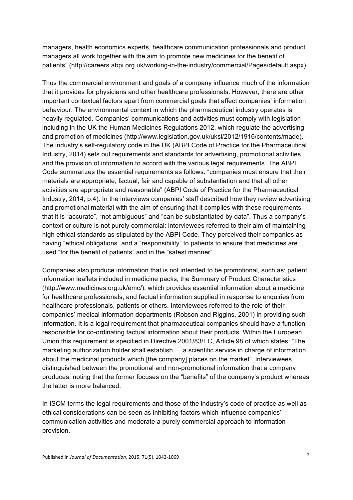managers, health economics experts, healthcare communication professionals and product managers all work together with the aim to promote new medicines for the benefit of patients" (http://careers.abpi.org.uk/working-in-the-industry/commercial/Pages/default.aspx).

Thus the commercial environment and goals of a company influence much of the information that it provides for physicians and other healthcare professionals. However, there are other important contextual factors apart from commercial goals that affect companies' information behaviour. The environmental context in which the pharmaceutical industry operates is heavily regulated. Companies' communications and activities must comply with legislation including in the UK the Human Medicines Regulations 2012, which regulate the advertising and promotion of medicines (http://www.legislation.gov.uk/uksi/2012/1916/contents/made). The industry's self-regulatory code in the UK (ABPI Code of Practice for the Pharmaceutical Industry, 2014) sets out requirements and standards for advertising, promotional activities and the provision of information to accord with the various legal requirements. The ABPI Code summarizes the essential requirements as follows: "companies must ensure that their materials are appropriate, factual, fair and capable of substantiation and that all other activities are appropriate and reasonable" (ABPI Code of Practice for the Pharmaceutical Industry, 2014, p.4). In the interviews companies' staff described how they review advertising and promotional material with the aim of ensuring that it complies with these requirements – that it is "accurate", "not ambiguous" and "can be substantiated by data". Thus a company's context or culture is not purely commercial: interviewees referred to their aim of maintaining high ethical standards as stipulated by the ABPI Code. They perceived their companies as having "ethical obligations" and a "responsibility" to patients to ensure that medicines are used "for the benefit of patients" and in the "safest manner".

Companies also produce information that is not intended to be promotional, such as: patient information leaflets included in medicine packs; the Summary of Product Characteristics (http://www.medicines.org.uk/emc/), which provides essential information about a medicine for healthcare professionals; and factual information supplied in response to enquiries from healthcare professionals, patients or others. Interviewees referred to the role of their companies' medical information departments (Robson and Riggins, 2001) in providing such information. It is a legal requirement that pharmaceutical companies should have a function responsible for co-ordinating factual information about their products. Within the European Union this requirement is specified in Directive 2001/83/EC, Article 98 of which states: "The marketing authorization holder shall establish … a scientific service in charge of information about the medicinal products which [the company] places on the market". Interviewees distinguished between the promotional and non-promotional information that a company produces, noting that the former focuses on the "benefits" of the company's product whereas the latter is more balanced.

In ISCM terms the legal requirements and those of the industry's code of practice as well as ethical considerations can be seen as inhibiting factors which influence companies' communication activities and moderate a purely commercial approach to information provision.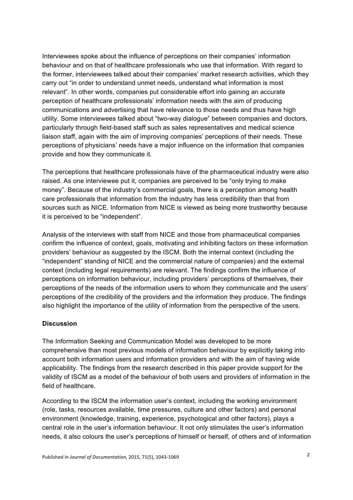Interviewees spoke about the influence of perceptions on their companies' information behaviour and on that of healthcare professionals who use that information. With regard to the former, interviewees talked about their companies' market research activities, which they carry out "in order to understand unmet needs, understand what information is most relevant". In other words, companies put considerable effort into gaining an accurate perception of healthcare professionals' information needs with the aim of producing communications and advertising that have relevance to those needs and thus have high utility. Some interviewees talked about "two-way dialogue" between companies and doctors, particularly through field-based staff such as sales representatives and medical science liaison staff, again with the aim of improving companies' perceptions of their needs. These perceptions of physicians' needs have a major influence on the information that companies provide and how they communicate it.

The perceptions that healthcare professionals have of the pharmaceutical industry were also raised. As one interviewee put it, companies are perceived to be "only trying to make money". Because of the industry's commercial goals, there is a perception among health care professionals that information from the industry has less credibility than that from sources such as NICE. Information from NICE is viewed as being more trustworthy because it is perceived to be "independent".

Analysis of the interviews with staff from NICE and those from pharmaceutical companies confirm the influence of context, goals, motivating and inhibiting factors on these information providers' behaviour as suggested by the ISCM. Both the internal context (including the "independent" standing of NICE and the commercial nature of companies) and the external context (including legal requirements) are relevant. The findings confirm the influence of perceptions on information behaviour, including providers' perceptions of themselves, their perceptions of the needs of the information users to whom they communicate and the users' perceptions of the credibility of the providers and the information they produce. The findings also highlight the importance of the utility of information from the perspective of the users.

### **Discussion**

The Information Seeking and Communication Model was developed to be more comprehensive than most previous models of information behaviour by explicitly taking into account both information users and information providers and with the aim of having wide applicability. The findings from the research described in this paper provide support for the validity of ISCM as a model of the behaviour of both users and providers of information in the field of healthcare.

According to the ISCM the information user's context, including the working environment (role, tasks, resources available, time pressures, culture and other factors) and personal environment (knowledge, training, experience, psychological and other factors), plays a central role in the user's information behaviour. It not only stimulates the user's information needs, it also colours the user's perceptions of himself or herself, of others and of information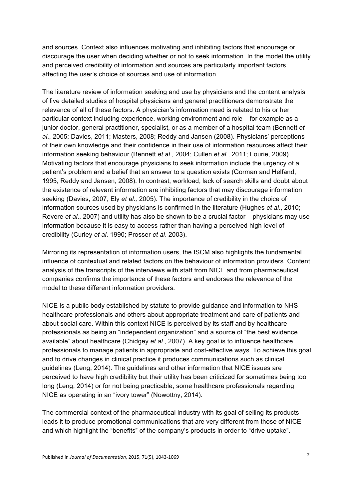and sources. Context also influences motivating and inhibiting factors that encourage or discourage the user when deciding whether or not to seek information. In the model the utility and perceived credibility of information and sources are particularly important factors affecting the user's choice of sources and use of information.

The literature review of information seeking and use by physicians and the content analysis of five detailed studies of hospital physicians and general practitioners demonstrate the relevance of all of these factors. A physician's information need is related to his or her particular context including experience, working environment and role – for example as a junior doctor, general practitioner, specialist, or as a member of a hospital team (Bennett *et al*., 2005; Davies, 2011; Masters, 2008; Reddy and Jansen (2008). Physicians' perceptions of their own knowledge and their confidence in their use of information resources affect their information seeking behaviour (Bennett *et al*., 2004; Cullen *et al*., 2011; Fourie, 2009). Motivating factors that encourage physicians to seek information include the urgency of a patient's problem and a belief that an answer to a question exists (Gorman and Helfand, 1995; Reddy and Jansen, 2008). In contrast, workload, lack of search skills and doubt about the existence of relevant information are inhibiting factors that may discourage information seeking (Davies, 2007; Ely *et al.,* 2005). The importance of credibility in the choice of information sources used by physicians is confirmed in the literature (Hughes *et al*., 2010; Revere *et al*., 2007) and utility has also be shown to be a crucial factor – physicians may use information because it is easy to access rather than having a perceived high level of credibility (Curley *et al*. 1990; Prosser *et al*. 2003).

Mirroring its representation of information users, the ISCM also highlights the fundamental influence of contextual and related factors on the behaviour of information providers. Content analysis of the transcripts of the interviews with staff from NICE and from pharmaceutical companies confirms the importance of these factors and endorses the relevance of the model to these different information providers.

NICE is a public body established by statute to provide guidance and information to NHS healthcare professionals and others about appropriate treatment and care of patients and about social care. Within this context NICE is perceived by its staff and by healthcare professionals as being an "independent organization" and a source of "the best evidence available" about healthcare (Chidgey *et al*., 2007). A key goal is to influence healthcare professionals to manage patients in appropriate and cost-effective ways. To achieve this goal and to drive changes in clinical practice it produces communications such as clinical guidelines (Leng, 2014). The guidelines and other information that NICE issues are perceived to have high credibility but their utility has been criticized for sometimes being too long (Leng, 2014) or for not being practicable, some healthcare professionals regarding NICE as operating in an "ivory tower" (Nowottny, 2014).

The commercial context of the pharmaceutical industry with its goal of selling its products leads it to produce promotional communications that are very different from those of NICE and which highlight the "benefits" of the company's products in order to "drive uptake".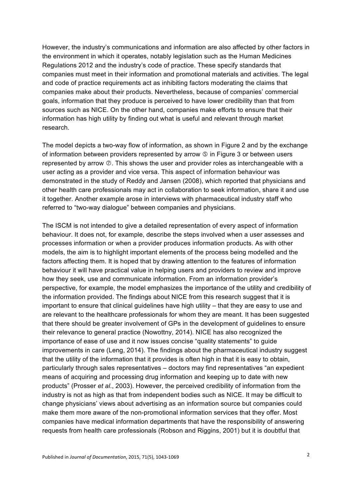However, the industry's communications and information are also affected by other factors in the environment in which it operates, notably legislation such as the Human Medicines Regulations 2012 and the industry's code of practice. These specify standards that companies must meet in their information and promotional materials and activities. The legal and code of practice requirements act as inhibiting factors moderating the claims that companies make about their products. Nevertheless, because of companies' commercial goals, information that they produce is perceived to have lower credibility than that from sources such as NICE. On the other hand, companies make efforts to ensure that their information has high utility by finding out what is useful and relevant through market research.

The model depicts a two-way flow of information, as shown in Figure 2 and by the exchange of information between providers represented by arrow  $\circledcirc$  in Figure 3 or between users represented by arrow  $\oslash$ . This shows the user and provider roles as interchangeable with a user acting as a provider and vice versa. This aspect of information behaviour was demonstrated in the study of Reddy and Jansen (2008), which reported that physicians and other health care professionals may act in collaboration to seek information, share it and use it together. Another example arose in interviews with pharmaceutical industry staff who referred to "two-way dialogue" between companies and physicians.

The ISCM is not intended to give a detailed representation of every aspect of information behaviour. It does not, for example, describe the steps involved when a user assesses and processes information or when a provider produces information products. As with other models, the aim is to highlight important elements of the process being modelled and the factors affecting them. It is hoped that by drawing attention to the features of information behaviour it will have practical value in helping users and providers to review and improve how they seek, use and communicate information. From an information provider's perspective, for example, the model emphasizes the importance of the utility and credibility of the information provided. The findings about NICE from this research suggest that it is important to ensure that clinical guidelines have high utility – that they are easy to use and are relevant to the healthcare professionals for whom they are meant. It has been suggested that there should be greater involvement of GPs in the development of guidelines to ensure their relevance to general practice (Nowottny, 2014). NICE has also recognized the importance of ease of use and it now issues concise "quality statements" to guide improvements in care (Leng, 2014). The findings about the pharmaceutical industry suggest that the utility of the information that it provides is often high in that it is easy to obtain, particularly through sales representatives – doctors may find representatives "an expedient means of acquiring and processing drug information and keeping up to date with new products" (Prosser *et al*., 2003). However, the perceived credibility of information from the industry is not as high as that from independent bodies such as NICE. It may be difficult to change physicians' views about advertising as an information source but companies could make them more aware of the non-promotional information services that they offer. Most companies have medical information departments that have the responsibility of answering requests from health care professionals (Robson and Riggins, 2001) but it is doubtful that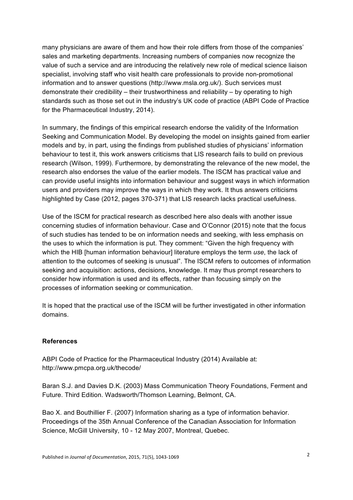many physicians are aware of them and how their role differs from those of the companies' sales and marketing departments. Increasing numbers of companies now recognize the value of such a service and are introducing the relatively new role of medical science liaison specialist, involving staff who visit health care professionals to provide non-promotional information and to answer questions (http://www.msla.org.uk/). Such services must demonstrate their credibility – their trustworthiness and reliability – by operating to high standards such as those set out in the industry's UK code of practice (ABPI Code of Practice for the Pharmaceutical Industry, 2014).

In summary, the findings of this empirical research endorse the validity of the Information Seeking and Communication Model. By developing the model on insights gained from earlier models and by, in part, using the findings from published studies of physicians' information behaviour to test it, this work answers criticisms that LIS research fails to build on previous research (Wilson, 1999). Furthermore, by demonstrating the relevance of the new model, the research also endorses the value of the earlier models. The ISCM has practical value and can provide useful insights into information behaviour and suggest ways in which information users and providers may improve the ways in which they work. It thus answers criticisms highlighted by Case (2012, pages 370-371) that LIS research lacks practical usefulness.

Use of the ISCM for practical research as described here also deals with another issue concerning studies of information behaviour. Case and O'Connor (2015) note that the focus of such studies has tended to be on information needs and seeking, with less emphasis on the uses to which the information is put. They comment: "Given the high frequency with which the HIB [human information behaviour] literature employs the term *use*, the lack of attention to the outcomes of seeking is unusual". The ISCM refers to outcomes of information seeking and acquisition: actions, decisions, knowledge. It may thus prompt researchers to consider how information is used and its effects, rather than focusing simply on the processes of information seeking or communication.

It is hoped that the practical use of the ISCM will be further investigated in other information domains.

#### **References**

ABPI Code of Practice for the Pharmaceutical Industry (2014) Available at: http://www.pmcpa.org.uk/thecode/

Baran S.J. and Davies D.K. (2003) Mass Communication Theory Foundations, Ferment and Future. Third Edition. Wadsworth/Thomson Learning, Belmont, CA.

Bao X. and Bouthillier F. (2007) Information sharing as a type of information behavior. Proceedings of the 35th Annual Conference of the Canadian Association for Information Science, McGill University, 10 - 12 May 2007, Montreal, Quebec.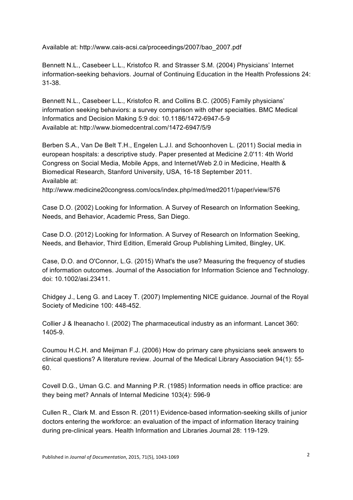Available at: http://www.cais-acsi.ca/proceedings/2007/bao\_2007.pdf

Bennett N.L., Casebeer L.L., Kristofco R. and Strasser S.M. (2004) Physicians' Internet information-seeking behaviors. Journal of Continuing Education in the Health Professions 24: 31-38.

Bennett N.L., Casebeer L.L., Kristofco R. and Collins B.C. (2005) Family physicians' information seeking behaviors: a survey comparison with other specialties. BMC Medical Informatics and Decision Making 5:9 doi: 10.1186/1472-6947-5-9 Available at: http://www.biomedcentral.com/1472-6947/5/9

Berben S.A., Van De Belt T.H., Engelen L.J.l. and Schoonhoven L. (2011) Social media in european hospitals: a descriptive study. Paper presented at Medicine 2.0'11: 4th World Congress on Social Media, Mobile Apps, and Internet/Web 2.0 in Medicine, Health & Biomedical Research, Stanford University, USA, 16-18 September 2011. Available at:

http://www.medicine20congress.com/ocs/index.php/med/med2011/paper/view/576

Case D.O. (2002) Looking for Information. A Survey of Research on Information Seeking, Needs, and Behavior, Academic Press, San Diego.

Case D.O. (2012) Looking for Information. A Survey of Research on Information Seeking, Needs, and Behavior, Third Edition, Emerald Group Publishing Limited, Bingley, UK.

Case, D.O. and O'Connor, L.G. (2015) What's the use? Measuring the frequency of studies of information outcomes. Journal of the Association for Information Science and Technology. doi: 10.1002/asi.23411.

Chidgey J., Leng G. and Lacey T. (2007) Implementing NICE guidance. Journal of the Royal Society of Medicine 100: 448-452.

Collier J & Iheanacho I. (2002) The pharmaceutical industry as an informant. Lancet 360: 1405-9.

Coumou H.C.H. and Meijman F.J. (2006) How do primary care physicians seek answers to clinical questions? A literature review. Journal of the Medical Library Association 94(1): 55- 60.

Covell D.G., Uman G.C. and Manning P.R. (1985) Information needs in office practice: are they being met? Annals of Internal Medicine 103(4): 596-9

Cullen R., Clark M. and Esson R. (2011) Evidence-based information-seeking skills of junior doctors entering the workforce: an evaluation of the impact of information literacy training during pre-clinical years. Health Information and Libraries Journal 28: 119-129.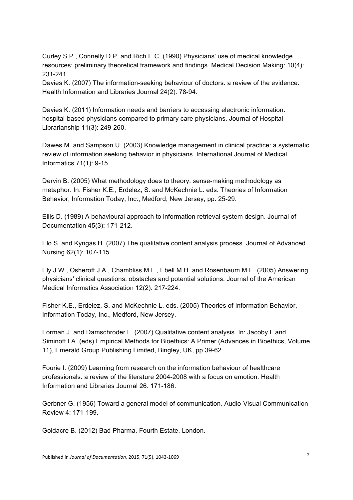Curley S.P., Connelly D.P. and Rich E.C. (1990) Physicians' use of medical knowledge resources: preliminary theoretical framework and findings. Medical Decision Making: 10(4): 231-241.

Davies K. (2007) The information-seeking behaviour of doctors: a review of the evidence. Health Information and Libraries Journal 24(2): 78-94.

Davies K. (2011) Information needs and barriers to accessing electronic information: hospital-based physicians compared to primary care physicians. Journal of Hospital Librarianship 11(3): 249-260.

Dawes M. and Sampson U. (2003) Knowledge management in clinical practice: a systematic review of information seeking behavior in physicians. International Journal of Medical Informatics 71(1): 9-15.

Dervin B. (2005) What methodology does to theory: sense-making methodology as metaphor. In: Fisher K.E., Erdelez, S. and McKechnie L. eds. Theories of Information Behavior, Information Today, Inc., Medford, New Jersey, pp. 25-29.

Ellis D. (1989) A behavioural approach to information retrieval system design. Journal of Documentation 45(3): 171-212.

Elo S. and Kyngäs H. (2007) The qualitative content analysis process. Journal of Advanced Nursing 62(1): 107-115.

Ely J.W., Osheroff J.A., Chambliss M.L., Ebell M.H. and Rosenbaum M.E. (2005) Answering physicians' clinical questions: obstacles and potential solutions. Journal of the American Medical Informatics Association 12(2): 217-224.

Fisher K.E., Erdelez, S. and McKechnie L. eds. (2005) Theories of Information Behavior, Information Today, Inc., Medford, New Jersey.

Forman J. and Damschroder L. (2007) Qualitative content analysis. In: Jacoby L and Siminoff LA. (eds) Empirical Methods for Bioethics: A Primer (Advances in Bioethics, Volume 11), Emerald Group Publishing Limited, Bingley, UK, pp.39-62.

Fourie I. (2009) Learning from research on the information behaviour of healthcare professionals: a review of the literature 2004-2008 with a focus on emotion. Health Information and Libraries Journal 26: 171-186.

Gerbner G. (1956) Toward a general model of communication. Audio-Visual Communication Review 4: 171-199.

Goldacre B. (2012) Bad Pharma. Fourth Estate, London.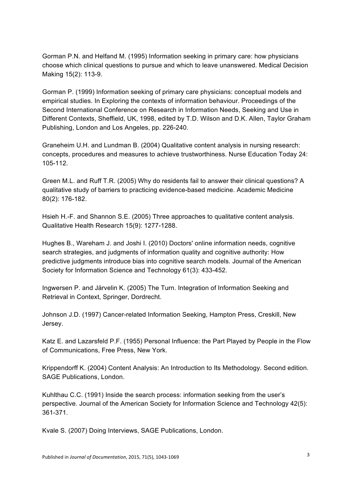Gorman P.N. and Helfand M. (1995) Information seeking in primary care: how physicians choose which clinical questions to pursue and which to leave unanswered. Medical Decision Making 15(2): 113-9.

Gorman P. (1999) Information seeking of primary care physicians: conceptual models and empirical studies. In Exploring the contexts of information behaviour. Proceedings of the Second International Conference on Research in Information Needs, Seeking and Use in Different Contexts, Sheffield, UK, 1998, edited by T.D. Wilson and D.K. Allen, Taylor Graham Publishing, London and Los Angeles, pp. 226-240.

Graneheim U.H. and Lundman B. (2004) Qualitative content analysis in nursing research: concepts, procedures and measures to achieve trustworthiness. Nurse Education Today 24: 105-112.

Green M.L. and Ruff T.R. (2005) Why do residents fail to answer their clinical questions? A qualitative study of barriers to practicing evidence-based medicine. Academic Medicine 80(2): 176-182.

Hsieh H.-F. and Shannon S.E. (2005) Three approaches to qualitative content analysis. Qualitative Health Research 15(9): 1277-1288.

Hughes B., Wareham J. and Joshi I. (2010) Doctors' online information needs, cognitive search strategies, and judgments of information quality and cognitive authority: How predictive judgments introduce bias into cognitive search models. Journal of the American Society for Information Science and Technology 61(3): 433-452.

Ingwersen P. and Järvelin K. (2005) The Turn. Integration of Information Seeking and Retrieval in Context, Springer, Dordrecht.

Johnson J.D. (1997) Cancer-related Information Seeking, Hampton Press, Creskill, New Jersey.

Katz E. and Lazarsfeld P.F. (1955) Personal Influence: the Part Played by People in the Flow of Communications, Free Press, New York.

Krippendorff K. (2004) Content Analysis: An Introduction to Its Methodology. Second edition. SAGE Publications, London.

Kuhlthau C.C. (1991) Inside the search process: information seeking from the user's perspective. Journal of the American Society for Information Science and Technology 42(5): 361-371.

Kvale S. (2007) Doing Interviews, SAGE Publications, London.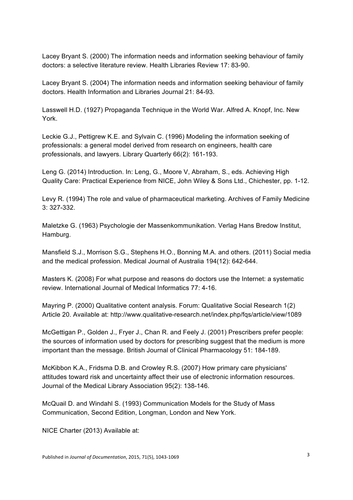Lacey Bryant S. (2000) The information needs and information seeking behaviour of family doctors: a selective literature review. Health Libraries Review 17: 83-90.

Lacey Bryant S. (2004) The information needs and information seeking behaviour of family doctors. Health Information and Libraries Journal 21: 84-93.

Lasswell H.D. (1927) Propaganda Technique in the World War. Alfred A. Knopf, Inc. New York.

Leckie G.J., Pettigrew K.E. and Sylvain C. (1996) Modeling the information seeking of professionals: a general model derived from research on engineers, health care professionals, and lawyers. Library Quarterly 66(2): 161-193.

Leng G. (2014) Introduction. In: Leng, G., Moore V, Abraham, S., eds. Achieving High Quality Care: Practical Experience from NICE, John Wiley & Sons Ltd., Chichester, pp. 1-12.

Levy R. (1994) The role and value of pharmaceutical marketing. Archives of Family Medicine 3: 327-332.

Maletzke G. (1963) Psychologie der Massenkommunikation. Verlag Hans Bredow Institut, Hamburg.

Mansfield S.J., Morrison S.G., Stephens H.O., Bonning M.A. and others. (2011) Social media and the medical profession. Medical Journal of Australia 194(12): 642-644.

Masters K. (2008) For what purpose and reasons do doctors use the Internet: a systematic review. International Journal of Medical Informatics 77: 4-16.

Mayring P. (2000) Qualitative content analysis. Forum: Qualitative Social Research 1(2) Article 20. Available at: http://www.qualitative-research.net/index.php/fqs/article/view/1089

McGettigan P., Golden J., Fryer J., Chan R. and Feely J. (2001) Prescribers prefer people: the sources of information used by doctors for prescribing suggest that the medium is more important than the message. British Journal of Clinical Pharmacology 51: 184-189.

McKibbon K.A., Fridsma D.B. and Crowley R.S. (2007) How primary care physicians' attitudes toward risk and uncertainty affect their use of electronic information resources. Journal of the Medical Library Association 95(2): 138-146.

McQuail D. and Windahl S. (1993) Communication Models for the Study of Mass Communication, Second Edition, Longman, London and New York.

NICE Charter (2013) Available at: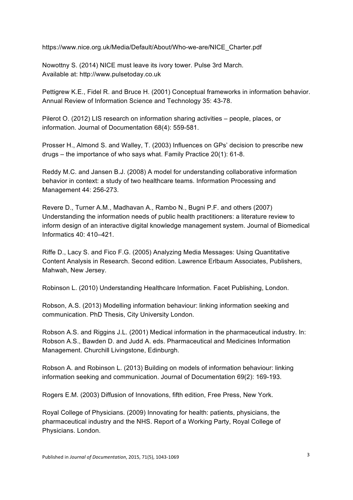https://www.nice.org.uk/Media/Default/About/Who-we-are/NICE\_Charter.pdf

Nowottny S. (2014) NICE must leave its ivory tower. Pulse 3rd March. Available at: http://www.pulsetoday.co.uk

Pettigrew K.E., Fidel R. and Bruce H. (2001) Conceptual frameworks in information behavior. Annual Review of Information Science and Technology 35: 43-78.

Pilerot O. (2012) LIS research on information sharing activities – people, places, or information. Journal of Documentation 68(4): 559-581.

Prosser H., Almond S. and Walley, T. (2003) Influences on GPs' decision to prescribe new drugs – the importance of who says what. Family Practice 20(1): 61-8.

Reddy M.C. and Jansen B.J. (2008) A model for understanding collaborative information behavior in context: a study of two healthcare teams. Information Processing and Management 44: 256-273.

Revere D., Turner A.M., Madhavan A., Rambo N., Bugni P.F. and others (2007) Understanding the information needs of public health practitioners: a literature review to inform design of an interactive digital knowledge management system. Journal of Biomedical Informatics 40: 410–421.

Riffe D., Lacy S. and Fico F.G. (2005) Analyzing Media Messages: Using Quantitative Content Analysis in Research. Second edition. Lawrence Erlbaum Associates, Publishers, Mahwah, New Jersey.

Robinson L. (2010) Understanding Healthcare Information. Facet Publishing, London.

Robson, A.S. (2013) Modelling information behaviour: linking information seeking and communication. PhD Thesis, City University London.

Robson A.S. and Riggins J.L. (2001) Medical information in the pharmaceutical industry. In: Robson A.S., Bawden D. and Judd A. eds. Pharmaceutical and Medicines Information Management. Churchill Livingstone, Edinburgh.

Robson A. and Robinson L. (2013) Building on models of information behaviour: linking information seeking and communication. Journal of Documentation 69(2): 169-193.

Rogers E.M. (2003) Diffusion of Innovations, fifth edition, Free Press, New York.

Royal College of Physicians. (2009) Innovating for health: patients, physicians, the pharmaceutical industry and the NHS. Report of a Working Party, Royal College of Physicians. London.